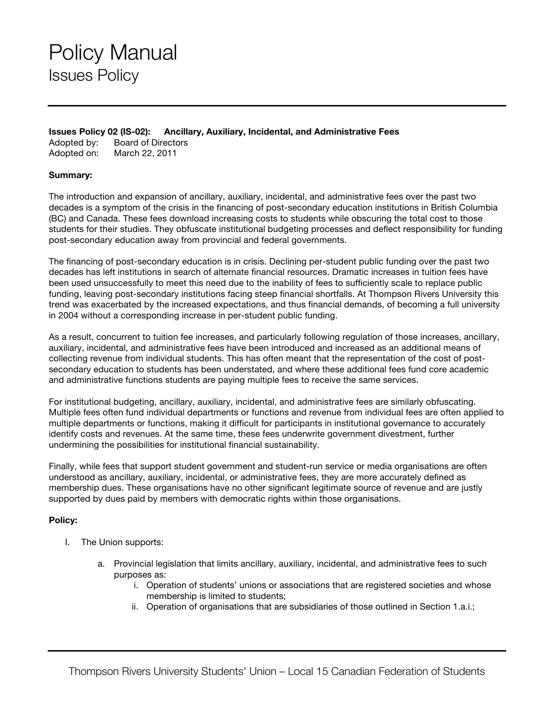**Issues Policy 02 (IS-02): Ancillary, Auxiliary, Incidental, and Administrative Fees**

Adopted by: Board of Directors Adopted on: March 22, 2011

## **Summary:**

The introduction and expansion of ancillary, auxiliary, incidental, and administrative fees over the past two decades is a symptom of the crisis in the financing of post-secondary education institutions in British Columbia (BC) and Canada. These fees download increasing costs to students while obscuring the total cost to those students for their studies. They obfuscate institutional budgeting processes and deflect responsibility for funding post-secondary education away from provincial and federal governments.

The financing of post-secondary education is in crisis. Declining per-student public funding over the past two decades has left institutions in search of alternate financial resources. Dramatic increases in tuition fees have been used unsuccessfully to meet this need due to the inability of fees to sufficiently scale to replace public funding, leaving post-secondary institutions facing steep financial shortfalls. At Thompson Rivers University this trend was exacerbated by the increased expectations, and thus financial demands, of becoming a full university in 2004 without a corresponding increase in per-student public funding.

As a result, concurrent to tuition fee increases, and particularly following regulation of those increases, ancillary, auxiliary, incidental, and administrative fees have been introduced and increased as an additional means of collecting revenue from individual students. This has often meant that the representation of the cost of postsecondary education to students has been understated, and where these additional fees fund core academic and administrative functions students are paying multiple fees to receive the same services.

For institutional budgeting, ancillary, auxiliary, incidental, and administrative fees are similarly obfuscating. Multiple fees often fund individual departments or functions and revenue from individual fees are often applied to multiple departments or functions, making it difficult for participants in institutional governance to accurately identify costs and revenues. At the same time, these fees underwrite government divestment, further undermining the possibilities for institutional financial sustainability.

Finally, while fees that support student government and student-run service or media organisations are often understood as ancillary, auxiliary, incidental, or administrative fees, they are more accurately defined as membership dues. These organisations have no other significant legitimate source of revenue and are justly supported by dues paid by members with democratic rights within those organisations.

## **Policy:**

- I. The Union supports:
	- a. Provincial legislation that limits ancillary, auxiliary, incidental, and administrative fees to such purposes as:
		- i. Operation of students' unions or associations that are registered societies and whose membership is limited to students;
		- ii. Operation of organisations that are subsidiaries of those outlined in Section 1.a.i.;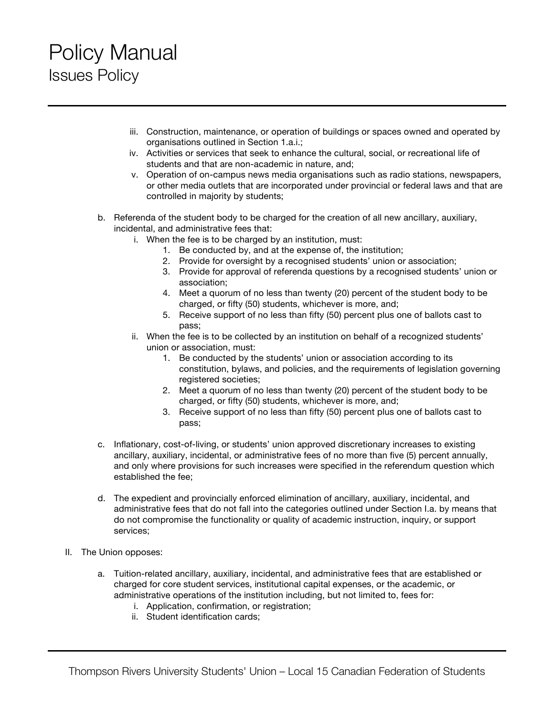## Policy Manual Issues Policy

- iii. Construction, maintenance, or operation of buildings or spaces owned and operated by organisations outlined in Section 1.a.i.;
- iv. Activities or services that seek to enhance the cultural, social, or recreational life of students and that are non-academic in nature, and;
- v. Operation of on-campus news media organisations such as radio stations, newspapers, or other media outlets that are incorporated under provincial or federal laws and that are controlled in majority by students;
- b. Referenda of the student body to be charged for the creation of all new ancillary, auxiliary, incidental, and administrative fees that:
	- i. When the fee is to be charged by an institution, must:
		- 1. Be conducted by, and at the expense of, the institution;
		- 2. Provide for oversight by a recognised students' union or association;
		- 3. Provide for approval of referenda questions by a recognised students' union or association;
		- 4. Meet a quorum of no less than twenty (20) percent of the student body to be charged, or fifty (50) students, whichever is more, and;
		- 5. Receive support of no less than fifty (50) percent plus one of ballots cast to pass;
	- ii. When the fee is to be collected by an institution on behalf of a recognized students' union or association, must:
		- 1. Be conducted by the students' union or association according to its constitution, bylaws, and policies, and the requirements of legislation governing registered societies;
		- 2. Meet a quorum of no less than twenty (20) percent of the student body to be charged, or fifty (50) students, whichever is more, and;
		- 3. Receive support of no less than fifty (50) percent plus one of ballots cast to pass;
- c. Inflationary, cost-of-living, or students' union approved discretionary increases to existing ancillary, auxiliary, incidental, or administrative fees of no more than five (5) percent annually, and only where provisions for such increases were specified in the referendum question which established the fee;
- d. The expedient and provincially enforced elimination of ancillary, auxiliary, incidental, and administrative fees that do not fall into the categories outlined under Section I.a. by means that do not compromise the functionality or quality of academic instruction, inquiry, or support services;
- II. The Union opposes:
	- a. Tuition-related ancillary, auxiliary, incidental, and administrative fees that are established or charged for core student services, institutional capital expenses, or the academic, or administrative operations of the institution including, but not limited to, fees for:
		- i. Application, confirmation, or registration;
		- ii. Student identification cards;